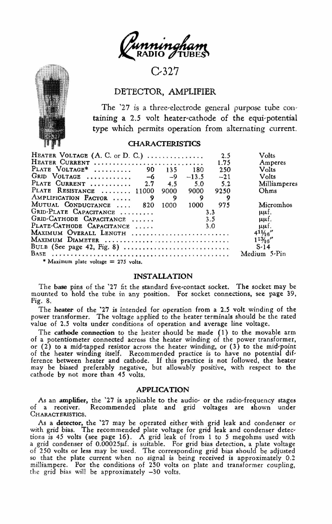

# $C-327$

## DETECTOR, AMPLIFIER

The '27 is a three-electrode general purpose tube containing a 2.5 volt heater-cathode of the equi-potential type which permits operation from alternating current.

### **CHARACTERISTICS**

| HEATER VOLTAGE (A. C. or D. C.)         |         | 2.5   | Volts             |
|-----------------------------------------|---------|-------|-------------------|
| HEATER CURRENT                          |         | 1.75  | Amperes           |
| PLATE VOLTAGE <sup>*</sup><br>90<br>135 | 180     | 250   | Volts             |
| GRID VOLTAGE<br>$-9$<br>-6              | $-13.5$ | $-21$ | Volts             |
| PLATE CURRENT<br>2.7<br>4.5             | 5.0     | 5.2   | Milliamperes      |
| PLATE RESISTANCE  11000<br>9000         | 9000    | 9250  | Ohms              |
| AMPLIFICATION FACTOR<br>Q<br>9          |         |       |                   |
| MUTUAL CONDUCTANCE<br>1000<br>820       | 1000    | 975   | Micromhos         |
| GRID-PLATE CAPACITANCE                  | 3.3     |       | uuf.              |
| GRID-CATHODE CAPACITANCE                | 3.5     |       | uuf.              |
| PLATE-CATHODE CAPACITANCE               | 3.0     |       | uuf.              |
| MAXIMUM OVERALL LENGTH                  |         |       | $4^{11}/16''$     |
| MAXIMUM DIAMETER                        |         |       | $11\frac{3}{6}$ " |
|                                         |         |       | $S-14$            |
|                                         |         |       | Medium 5-Pin      |
|                                         |         |       |                   |

\* Maximum plate voltage = 275 volts.

### **INSTALLATION**

The base pins of the '27 fit the standard five-contact socket. The socket may be mounted to hold the tube in any position. For socket connections, see page 39, Fig. 8.

The heater of the '27 is intended for operation from a 2.5 volt winding of the power transformer. The voltage applied to the heater terminals should be the rated value of 2.5 volts under conditions of operation and average line voltage.

The cathode connection to the heater should be made (1) to the movable arm of a potentiometer connected across the heater winding of the power transformer, or (2) to a mid-tapped resistor across the heater winding, or (3) to the mid-point of the heater winding itself. Recommended practice is to have no potential difof the heater and cathode. If this practice is not followed, the heater<br>may be biased preferably negative, but allowably positive, with respect to the<br>cathode by not more than 45 volts.

#### **APPLICATION**

As an amplifier, the '27 is applicable to the audio- or the radio-frequency stages of a receiver. Recommended plate and grid voltages are shown under CHARACTERISTICS.

As a detector, the '27 may be operated either with grid leak and condenser or with grid bias. The recommended plate voltage for grid leak and condenser detections is 45 volts (see page 16). A grid leak of from 1 to 5 megoh so that the plate current when no signal is being received is approximately 0.2 milliampere. For the conditions of 250 volts on plate and transformer coupling, the grid bias will be approximately -30 volts.